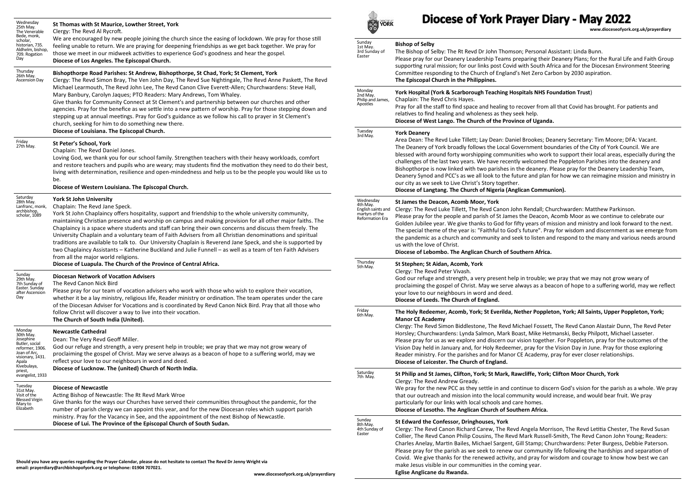| Wednesday<br>25th May.<br>The Venerable                                                                                           | St Thomas with St Maurice, Lowther Street, York<br>Clergy: The Revd Al Rycroft.                                                                                                                                                                                                                                                                                                                                                                                                                                                                                                                                                                                                                                                                                                                                      | <b>YORK</b>                                                                      | Diocese of York Prayer Diary - May 2022<br>www.dioceseofyork.org.uk/prayerdiary                                                                                                                                                                                                                                                                                                                                                                                                                                                                                                                                                                                                                                                                                                                                                                                                                                                                                                                                                                                                                                                                                       |
|-----------------------------------------------------------------------------------------------------------------------------------|----------------------------------------------------------------------------------------------------------------------------------------------------------------------------------------------------------------------------------------------------------------------------------------------------------------------------------------------------------------------------------------------------------------------------------------------------------------------------------------------------------------------------------------------------------------------------------------------------------------------------------------------------------------------------------------------------------------------------------------------------------------------------------------------------------------------|----------------------------------------------------------------------------------|-----------------------------------------------------------------------------------------------------------------------------------------------------------------------------------------------------------------------------------------------------------------------------------------------------------------------------------------------------------------------------------------------------------------------------------------------------------------------------------------------------------------------------------------------------------------------------------------------------------------------------------------------------------------------------------------------------------------------------------------------------------------------------------------------------------------------------------------------------------------------------------------------------------------------------------------------------------------------------------------------------------------------------------------------------------------------------------------------------------------------------------------------------------------------|
| Bede, monk,<br>scholar,<br>historian, 735.<br>Aldhelm, bishop,<br>709. Rogation<br>Day                                            | We are encouraged by new people joining the church since the easing of lockdown. We pray for those still<br>feeling unable to return. We are praying for deepening friendships as we get back together. We pray for<br>those we meet in our midweek activities to experience God's goodness and hear the gospel.<br>Diocese of Los Angeles. The Episcopal Church.                                                                                                                                                                                                                                                                                                                                                                                                                                                    | Sunday<br>1st May.<br>3rd Sunday of<br>Easter                                    | <b>Bishop of Selby</b><br>The Bishop of Selby: The Rt Revd Dr John Thomson; Personal Assistant: Linda Bunn.<br>Please pray for our Deanery Leadership Teams preparing their Deanery Plans; for the Rural Life and Faith Group<br>supporting rural mission; for our links post Covid with South Africa and for the Diocesan Environment Steering<br>Committee responding to the Church of England's Net Zero Carbon by 2030 aspiration.<br>The Episcopal Church in the Philippines.                                                                                                                                                                                                                                                                                                                                                                                                                                                                                                                                                                                                                                                                                    |
| Thursday<br>26th May.<br><b>Ascension Day</b>                                                                                     | Bishopthorpe Road Parishes: St Andrew, Bishopthorpe, St Chad, York; St Clement, York<br>Clergy: The Revd Simon Bray, The Ven John Day, The Revd Sue Nightingale, The Revd Anne Paskett, The Revd<br>Michael Learmouth, The Revd John Lee, The Revd Canon Clive Everett-Allen; Churchwardens: Steve Hall,<br>Mary Banbury, Carolyn Jaques; PTO Readers: Mary Andrews, Tom Whaley.<br>Give thanks for Community Connect at St Clement's and partnership between our churches and other<br>agencies. Pray for the benefice as we settle into a new pattern of worship. Pray for those stepping down and<br>stepping up at annual meetings. Pray for God's guidance as we follow his call to prayer in St Clement's<br>church, seeking for him to do something new there.<br>Diocese of Louisiana. The Episcopal Church. |                                                                                  |                                                                                                                                                                                                                                                                                                                                                                                                                                                                                                                                                                                                                                                                                                                                                                                                                                                                                                                                                                                                                                                                                                                                                                       |
|                                                                                                                                   |                                                                                                                                                                                                                                                                                                                                                                                                                                                                                                                                                                                                                                                                                                                                                                                                                      | Monday<br>2nd May.<br>Philip and James,<br>Apostles                              | York Hospital (York & Scarborough Teaching Hospitals NHS Foundation Trust)<br>Chaplain: The Revd Chris Hayes.<br>Pray for all the staff to find space and healing to recover from all that Covid has brought. For patients and<br>relatives to find healing and wholeness as they seek help.<br>Diocese of West Lango. The Church of the Province of Uganda.                                                                                                                                                                                                                                                                                                                                                                                                                                                                                                                                                                                                                                                                                                                                                                                                          |
| Friday<br>27th May.                                                                                                               | St Peter's School, York<br>Chaplain: The Revd Daniel Jones.<br>Loving God, we thank you for our school family. Strengthen teachers with their heavy workloads, comfort<br>and restore teachers and pupils who are weary; may students find the motivation they need to do their best,<br>living with determination, resilience and open-mindedness and help us to be the people you would like us to<br>be.<br>Diocese of Western Louisiana. The Episcopal Church.                                                                                                                                                                                                                                                                                                                                                   | Tuesday<br>3rd May.                                                              | <b>York Deanery</b><br>Area Dean: The Revd Luke Tillett; Lay Dean: Daniel Brookes; Deanery Secretary: Tim Moore; DFA: Vacant.<br>The Deanery of York broadly follows the Local Government boundaries of the City of York Council. We are<br>blessed with around forty worshipping communities who work to support their local areas, especially during the<br>challenges of the last two years. We have recently welcomed the Poppleton Parishes into the deanery and<br>Bishopthorpe is now linked with two parishes in the deanery. Please pray for the Deanery Leadership Team,<br>Deanery Synod and PCC's as we all look to the future and plan for how we can reimagine mission and ministry in<br>our city as we seek to Live Christ's Story together.<br>Diocese of Langtang. The Church of Nigeria (Anglican Communion).                                                                                                                                                                                                                                                                                                                                      |
| Saturday<br>28th May.<br>Lanfranc, monk,<br>archbishop,<br>scholar, 1089                                                          | <b>York St John University</b><br>Chaplain: The Revd Jane Speck.<br>York St John Chaplaincy offers hospitality, support and friendship to the whole university community,<br>maintaining Christian presence and worship on campus and making provision for all other major faiths. The<br>Chaplaincy is a space where students and staff can bring their own concerns and discuss them freely. The<br>University Chaplain and a voluntary team of Faith Advisers from all Christian denominations and spiritual<br>traditions are available to talk to. Our University Chaplain is Reverend Jane Speck, and she is supported by<br>two Chaplaincy Assistants - Katherine Buckland and Julie Funnell - as well as a team of ten Faith Advisers<br>from all the major world religions.                                 | Wednesday<br>4th May.<br>English saints and<br>martyrs of the<br>Reformation Era | St James the Deacon, Acomb Moor, York<br>Clergy: The Revd Luke Tillett, The Revd Canon John Rendall; Churchwarden: Matthew Parkinson.<br>Please pray for the people and parish of St James the Deacon, Acomb Moor as we continue to celebrate our<br>Golden Jubilee year. We give thanks to God for fifty years of mission and ministry and look forward to the next.<br>The special theme of the year is: "Faithful to God's future". Pray for wisdom and discernment as we emerge from<br>the pandemic as a church and community and seek to listen and respond to the many and various needs around<br>us with the love of Christ.<br>Diocese of Lebombo. The Anglican Church of Southern Africa.                                                                                                                                                                                                                                                                                                                                                                                                                                                                  |
| Sunday<br>29th May.<br>7th Sunday of<br>Easter. Sunday<br>after Ascension<br>Day                                                  | Diocese of Luapula. The Church of the Province of Central Africa.<br><b>Diocesan Network of Vocation Advisers</b><br>The Revd Canon Nick Bird<br>Please pray for our team of vocation advisers who work with those who wish to explore their vocation,<br>whether it be a lay ministry, religious life, Reader ministry or ordination. The team operates under the care<br>of the Diocesan Adviser for Vocations and is coordinated by Revd Canon Nick Bird. Pray that all those who                                                                                                                                                                                                                                                                                                                                 | Thursday<br>5th May.                                                             | St Stephen; St Aidan, Acomb, York<br>Clergy: The Revd Peter Vivash.<br>God our refuge and strength, a very present help in trouble; we pray that we may not grow weary of<br>proclaiming the gospel of Christ. May we serve always as a beacon of hope to a suffering world, may we reflect<br>your love to our neighbours in word and deed.<br>Diocese of Leeds. The Church of England.                                                                                                                                                                                                                                                                                                                                                                                                                                                                                                                                                                                                                                                                                                                                                                              |
|                                                                                                                                   | follow Christ will discover a way to live into their vocation.<br>The Church of South India (United).                                                                                                                                                                                                                                                                                                                                                                                                                                                                                                                                                                                                                                                                                                                | Friday<br>6th May.                                                               | The Holy Redeemer, Acomb, York; St Everilda, Nether Poppleton, York; All Saints, Upper Poppleton, York;<br><b>Manor CE Academy</b><br>Clergy: The Revd Simon Biddlestone, The Revd Michael Fossett, The Revd Canon Alastair Dunn, The Revd Peter<br>Horsley; Churchwardens: Lynda Salmon, Mark Boast, Mike Hetmanski, Becky Philpott, Michael Lasseter.<br>Please pray for us as we explore and discern our vision together. For Poppleton, pray for the outcomes of the<br>Vision Day held in January and, for Holy Redeemer, pray for the Vision Day in June. Pray for those exploring<br>Reader ministry. For the parishes and for Manor CE Academy, pray for ever closer relationships.<br>Diocese of Leicester. The Church of England.                                                                                                                                                                                                                                                                                                                                                                                                                           |
| Monday<br>30th May.<br>Josephine<br>Butler, social<br>reformer, 1906.<br>Joan of Arc,<br>visionary, 1431.<br>Apala<br>Kivebulaya, | <b>Newcastle Cathedral</b><br>Dean: The Very Revd Geoff Miller.<br>God our refuge and strength, a very present help in trouble; we pray that we may not grow weary of<br>proclaiming the gospel of Christ. May we serve always as a beacon of hope to a suffering world, may we<br>reflect your love to our neighbours in word and deed.<br>Diocese of Lucknow. The (united) Church of North India.                                                                                                                                                                                                                                                                                                                                                                                                                  |                                                                                  |                                                                                                                                                                                                                                                                                                                                                                                                                                                                                                                                                                                                                                                                                                                                                                                                                                                                                                                                                                                                                                                                                                                                                                       |
| priest,<br>evangelist, 1933<br>Tuesday                                                                                            |                                                                                                                                                                                                                                                                                                                                                                                                                                                                                                                                                                                                                                                                                                                                                                                                                      | Saturday<br>7th May.                                                             | St Philip and St James, Clifton, York; St Mark, Rawcliffe, York; Clifton Moor Church, York<br>Clergy: The Revd Andrew Gready.<br>We pray for the new PCC as they settle in and continue to discern God's vision for the parish as a whole. We pray<br>that our outreach and mission into the local community would increase, and would bear fruit. We pray<br>particularly for our links with local schools and care homes.<br>Diocese of Lesotho. The Anglican Church of Southern Africa.<br>St Edward the Confessor, Dringhouses, York<br>Clergy: The Revd Canon Richard Carew, The Revd Angela Morrison, The Revd Letitia Chester, The Revd Susan<br>Collier, The Revd Canon Philip Cousins, The Revd Mark Russell-Smith, The Revd Canon John Young; Readers:<br>Charles Anelay, Martin Bailes, Michael Sargent, Gill Stamp; Churchwardens: Peter Burgess, Debbie Paterson.<br>Please pray for the parish as we seek to renew our community life following the hardships and separation of<br>Covid. We give thanks for the renewed activity, and pray for wisdom and courage to know how best we can<br>make Jesus visible in our communities in the coming year. |
| 31st May.<br>Visit of the<br><b>Blessed Virgin</b><br>Mary to<br>Elizabeth                                                        | <b>Diocese of Newcastle</b><br>Acting Bishop of Newcastle: The Rt Revd Mark Wroe<br>Give thanks for the ways our Churches have served their communities throughout the pandemic, for the<br>number of parish clergy we can appoint this year, and for the new Diocesan roles which support parish<br>ministry. Pray for the Vacancy in See, and the appointment of the next Bishop of Newcastle.<br>Diocese of Lui. The Province of the Episcopal Church of South Sudan.<br>Should you have any queries regarding the Prayer Calendar, please do not hesitate to contact The Revd Dr Jenny Wright via<br>email: prayerdiary@archbishopofyork.org or telephone: 01904 707021.                                                                                                                                         |                                                                                  |                                                                                                                                                                                                                                                                                                                                                                                                                                                                                                                                                                                                                                                                                                                                                                                                                                                                                                                                                                                                                                                                                                                                                                       |
|                                                                                                                                   |                                                                                                                                                                                                                                                                                                                                                                                                                                                                                                                                                                                                                                                                                                                                                                                                                      | Sunday<br>8th May.<br>4th Sunday of<br>Easter                                    |                                                                                                                                                                                                                                                                                                                                                                                                                                                                                                                                                                                                                                                                                                                                                                                                                                                                                                                                                                                                                                                                                                                                                                       |

**www.dioceseofyork.org.uk/prayerdiary**

**Eglise Anglicane du Rwanda.**